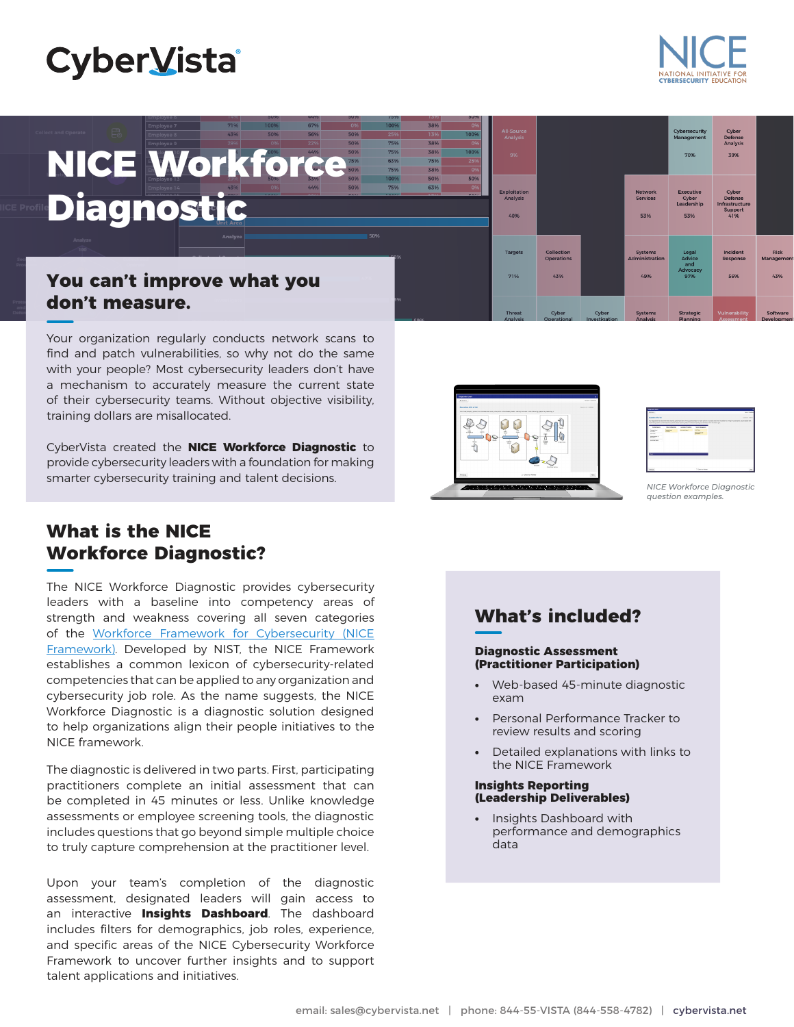## **CyberVista**

# **NICE Workforce Diagnostic**

#### **You can't improve what you don't measure.**

Your organization regularly conducts network scans to find and patch vulnerabilities, so why not do the same with your people? Most cybersecurity leaders don't have a mechanism to accurately measure the current state of their cybersecurity teams. Without objective visibility, training dollars are misallocated.

CyberVista created the **NICE Workforce Diagnostic** to provide cybersecurity leaders with a foundation for making smarter cybersecurity training and talent decisions.

## **What is the NICE Workforce Diagnostic?**

The NICE Workforce Diagnostic provides cybersecurity leaders with a baseline into competency areas of strength and weakness covering all seven categories of the [Workforce Framework for Cybersecurity \(NICE](https://nvlpubs.nist.gov/nistpubs/SpecialPublications/NIST.SP.800-181r1.pdf)  [Framework\).](https://nvlpubs.nist.gov/nistpubs/SpecialPublications/NIST.SP.800-181r1.pdf) Developed by NIST, the NICE Framework establishes a common lexicon of cybersecurity-related competencies that can be applied to any organization and cybersecurity job role. As the name suggests, the NICE Workforce Diagnostic is a diagnostic solution designed to help organizations align their people initiatives to the NICE framework.

The diagnostic is delivered in two parts. First, participating practitioners complete an initial assessment that can be completed in 45 minutes or less. Unlike knowledge assessments or employee screening tools, the diagnostic includes questions that go beyond simple multiple choice to truly capture comprehension at the practitioner level.

Upon your team's completion of the diagnostic assessment, designated leaders will gain access to an interactive **Insights Dashboard**. The dashboard includes filters for demographics, job roles, experience, and specific areas of the NICE Cybersecurity Workforce Framework to uncover further insights and to support talent applications and initiatives.



71%

**Collection**<br>Operations 43%

38%



YRERSECURITY

*NICE Workforce Diagnostic question examples.*

#### **Diagnostic Assessment (Practitioner Participation)**

- **•** Web-based 45-minute diagnostic exam
- **•** Personal Performance Tracker to review results and scoring
- **•** Detailed explanations with links to the NICE Framework

#### **Insights Reporting (Leadership Deliverables)**

**•** Insights Dashboard with performance and demographics data